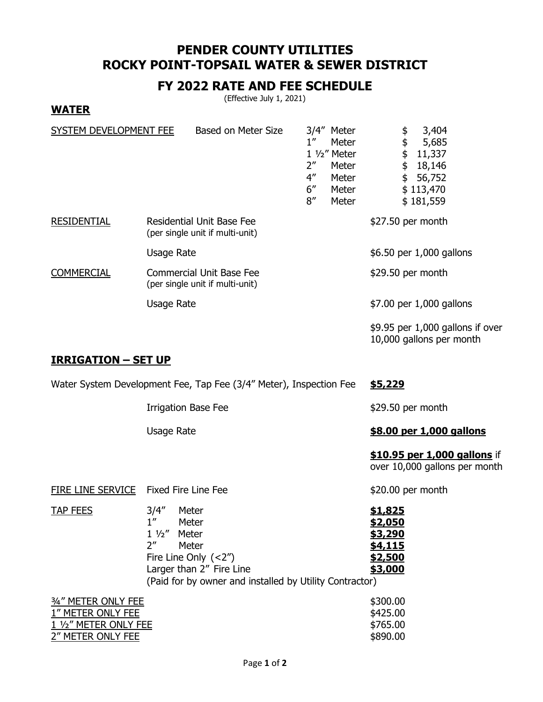# **PENDER COUNTY UTILITIES ROCKY POINT-TOPSAIL WATER & SEWER DISTRICT**

### **FY 2022 RATE AND FEE SCHEDULE**

(Effective July 1, 2021)

### **WATER**

| SYSTEM DEVELOPMENT FEE |                   | Based on Meter Size                                                 | $1^{\prime\prime}$<br>2″<br>$4^{\prime\prime}$<br>6''<br>8'' | 3/4" Meter<br>Meter<br>$1\frac{1}{2}$ Meter<br>Meter<br>Meter<br>Meter<br>Meter | 3,404<br>\$<br>\$<br>5,685<br>\$<br>11,337<br>\$<br>18,146<br>\$<br>56,752<br>\$113,470<br>\$181,559 |
|------------------------|-------------------|---------------------------------------------------------------------|--------------------------------------------------------------|---------------------------------------------------------------------------------|------------------------------------------------------------------------------------------------------|
| <b>RESIDENTIAL</b>     |                   | <b>Residential Unit Base Fee</b><br>(per single unit if multi-unit) |                                                              |                                                                                 | \$27.50 per month                                                                                    |
|                        | Usage Rate        |                                                                     |                                                              |                                                                                 | \$6.50 per 1,000 gallons                                                                             |
| <b>COMMERCIAL</b>      |                   | <b>Commercial Unit Base Fee</b><br>(per single unit if multi-unit)  |                                                              |                                                                                 | \$29.50 per month                                                                                    |
|                        | <b>Usage Rate</b> |                                                                     |                                                              |                                                                                 | \$7.00 per 1,000 gallons                                                                             |
|                        |                   |                                                                     |                                                              |                                                                                 | $$9.95$ per 1,000 gallons if over<br>10,000 gallons per month                                        |

#### **IRRIGATION – SET UP**

2" METER ONLY FEE

|                   | Water System Development Fee, Tap Fee (3/4" Meter), Inspection Fee | \$5,229                                                       |
|-------------------|--------------------------------------------------------------------|---------------------------------------------------------------|
|                   | <b>Irrigation Base Fee</b>                                         | $$29.50$ per month                                            |
|                   | Usage Rate                                                         | \$8.00 per 1,000 gallons                                      |
|                   |                                                                    | \$10.95 per 1,000 gallons if<br>over 10,000 gallons per month |
| FIRE LINE SERVICE | Fixed Fire Line Fee                                                | $$20.00$ per month                                            |

| <b>TAP FEES</b>     | 3/4''                                                   | Meter                    | \$1,825  |
|---------------------|---------------------------------------------------------|--------------------------|----------|
|                     | 1''                                                     | Meter                    | \$2,050  |
|                     |                                                         | $1\frac{1}{2}$ Meter     | \$3,290  |
|                     | ን"                                                      | Meter                    | \$4,115  |
|                     |                                                         | Fire Line Only $(<2'')$  | \$2,500  |
|                     |                                                         | Larger than 2" Fire Line | \$3,000  |
|                     | (Paid for by owner and installed by Utility Contractor) |                          |          |
| 3/4" METER ONLY FEE |                                                         |                          | \$300.00 |

 $\frac{1''}{1'2''}$  METER ONLY FEE  $\frac{1}{2}$   $\frac{1}{2}$   $\frac{1}{2}$   $\frac{1}{2}$   $\frac{1}{2}$   $\frac{1}{2}$   $\frac{1}{2}$   $\frac{1}{2}$   $\frac{1}{2}$   $\frac{1}{2}$   $\frac{1}{2}$   $\frac{1}{2}$   $\frac{1}{2}$   $\frac{1}{2}$   $\frac{1}{2}$   $\frac{1}{2}$   $\frac{1}{2}$   $\frac{1}{2}$   $\frac{1}{2}$   $\$ 1 1/2" METER ONLY FEE \$765.00<br>2" METER ONLY FEE \$890.00

| Page 1 of 2 |  |  |  |
|-------------|--|--|--|
|-------------|--|--|--|